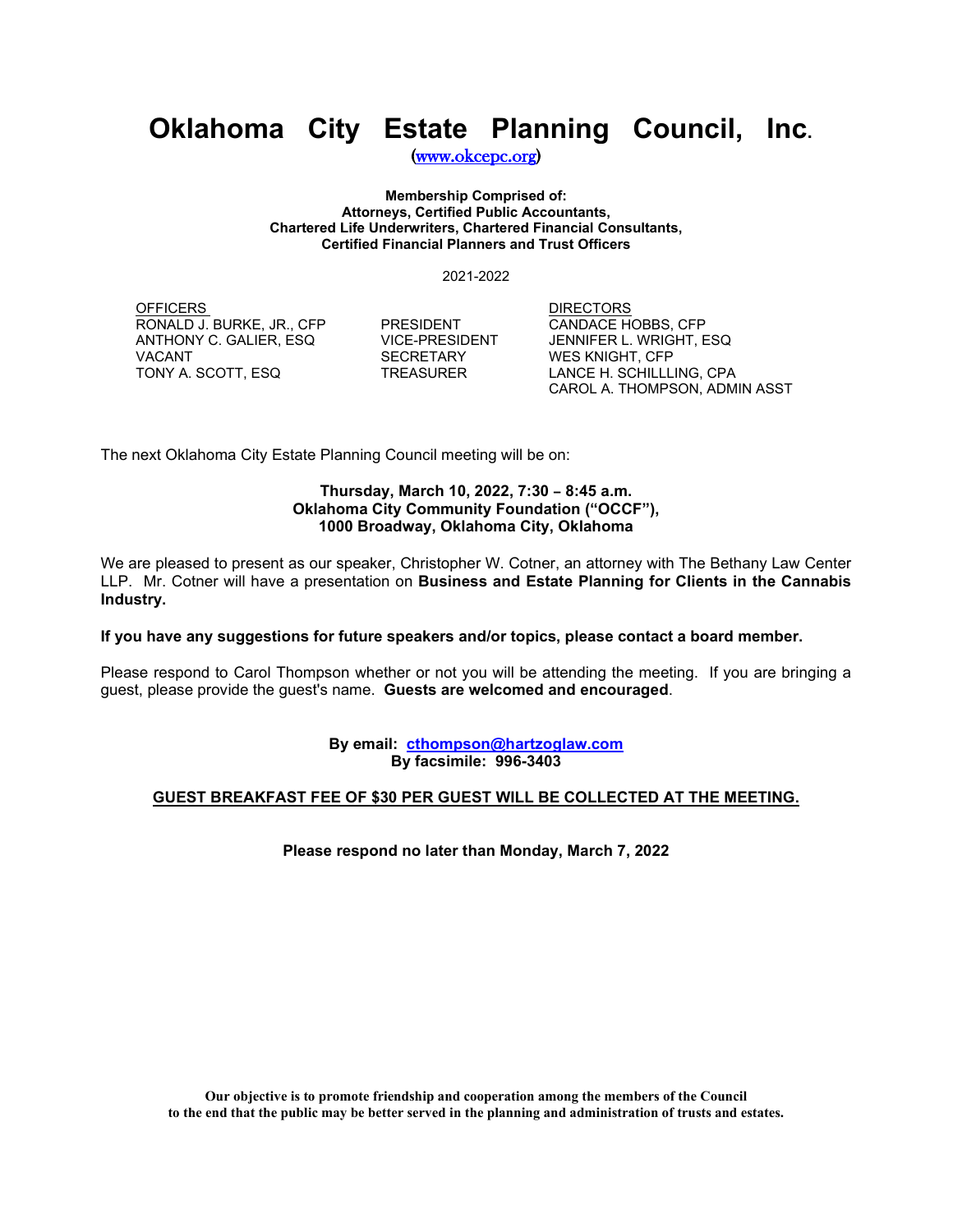## **Oklahoma City Estate Planning Council, Inc.**

[\(www.okcepc.org\)](http://www.okcepc.org/)

**Membership Comprised of: Attorneys, Certified Public Accountants, Chartered Life Underwriters, Chartered Financial Consultants, Certified Financial Planners and Trust Officers**

2021-2022

<u>OFFICERS</u><br>RONALD J. BURKE, JR., CFP PRESIDENT CANDACE HOBBS, CFP RONALD J. BURKE, JR., CFP PRESIDENT CANDACE HOBBS, CFP<br>ANTHONY C. GALIER, ESQ VICE-PRESIDENT JENNIFER L. WRIGHT, ESQ ANTHONY C. GALIER, ESQ VICE-PRESID<br>VACANT SECRETARY

WES KNIGHT, CFP TONY A. SCOTT, ESQ TREASURER LANCE H. SCHILLLING, CPA CAROL A. THOMPSON, ADMIN ASST

The next Oklahoma City Estate Planning Council meeting will be on:

### **Thursday, March 10, 2022, 7:30 - 8:45 a.m. Oklahoma City Community Foundation ("OCCF"), 1000 Broadway, Oklahoma City, Oklahoma**

We are pleased to present as our speaker, Christopher W. Cotner, an attorney with The Bethany Law Center LLP. Mr. Cotner will have a presentation on **Business and Estate Planning for Clients in the Cannabis Industry.**

#### **If you have any suggestions for future speakers and/or topics, please contact a board member.**

Please respond to Carol Thompson whether or not you will be attending the meeting. If you are bringing a guest, please provide the guest's name. **Guests are welcomed and encouraged**.

> **By email: cthompson@hartzoglaw.com By facsimile: 996-3403**

### **GUEST BREAKFAST FEE OF \$30 PER GUEST WILL BE COLLECTED AT THE MEETING.**

**Please respond no later than Monday, March 7, 2022**